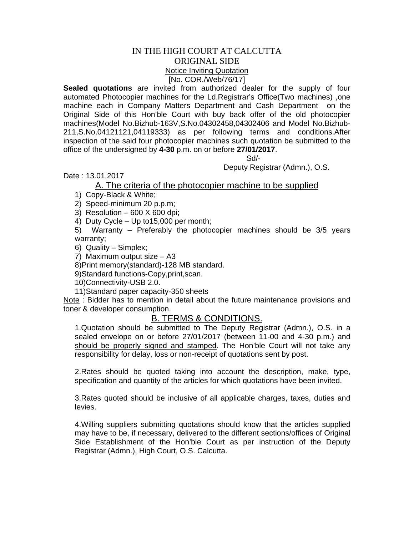## IN THE HIGH COURT AT CALCUTTA ORIGINAL SIDE Notice Inviting Quotation [No. COR./Web/76/17]

**Sealed quotations** are invited from authorized dealer for the supply of four automated Photocopier machines for the Ld.Registrar's Office(Two machines) ,one machine each in Company Matters Department and Cash Department on the Original Side of this Hon'ble Court with buy back offer of the old photocopier machines(Model No.Bizhub-163V,S.No.04302458,04302406 and Model No.Bizhub-211,S.No.04121121,04119333) as per following terms and conditions.After inspection of the said four photocopier machines such quotation be submitted to the office of the undersigned by **4-30** p.m. on or before **27/01/2017**.

Sd/-

Deputy Registrar (Admn.), O.S.

Date : 13.01.2017

## A. The criteria of the photocopier machine to be supplied

1) Copy-Black & White;

2) Speed-minimum 20 p.p.m;

3) Resolution  $-600$  X 600 dpi;

4) Duty Cycle – Up to15,000 per month;

5) Warranty – Preferably the photocopier machines should be 3/5 years warranty;

6) Quality – Simplex;

7) Maximum output size – A3

8)Print memory(standard)-128 MB standard.

9)Standard functions-Copy,print,scan.

10)Connectivity-USB 2.0.

11)Standard paper capacity-350 sheets

Note: Bidder has to mention in detail about the future maintenance provisions and toner & developer consumption.

## B. TERMS & CONDITIONS.

1.Quotation should be submitted to The Deputy Registrar (Admn.), O.S. in a sealed envelope on or before 27/01/2017 (between 11-00 and 4-30 p.m.) and should be properly signed and stamped. The Hon'ble Court will not take any responsibility for delay, loss or non-receipt of quotations sent by post.

2.Rates should be quoted taking into account the description, make, type, specification and quantity of the articles for which quotations have been invited.

3.Rates quoted should be inclusive of all applicable charges, taxes, duties and levies.

4.Willing suppliers submitting quotations should know that the articles supplied may have to be, if necessary, delivered to the different sections/offices of Original Side Establishment of the Hon'ble Court as per instruction of the Deputy Registrar (Admn.), High Court, O.S. Calcutta.